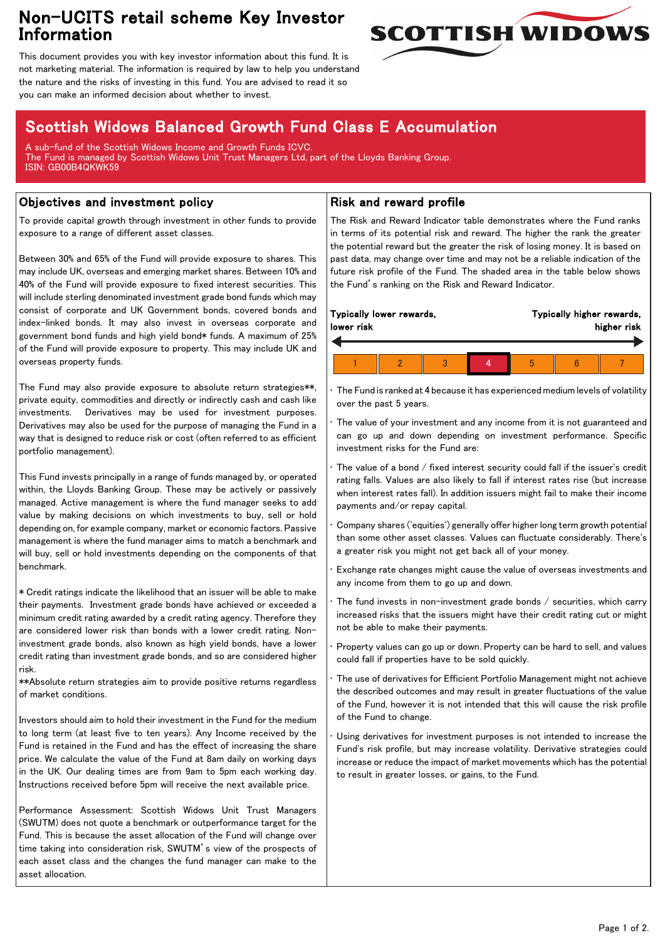## Non-UCITS retail scheme Key Investor Information



This document provides you with key investor information about this fund. It is not marketing material. The information is required by law to help you understand the nature and the risks of investing in this fund. You are advised to read it so you can make an informed decision about whether to invest.

# Scottish Widows Balanced Growth Fund Class E Accumulation

A sub-fund of the Scottish Widows Income and Growth Funds ICVC. The Fund is managed by Scottish Widows Unit Trust Managers Ltd, part of the Lloyds Banking Group. ISIN: GB00B4QKWK59

### Objectives and investment policy

To provide capital growth through investment in other funds to provide exposure to a range of different asset classes.

Between 30% and 65% of the Fund will provide exposure to shares. This may include UK, overseas and emerging market shares. Between 10% and 40% of the Fund will provide exposure to fixed interest securities. This will include sterling denominated investment grade bond funds which may consist of corporate and UK Government bonds, covered bonds and index-linked bonds. It may also invest in overseas corporate and government bond funds and high yield bond\* funds. A maximum of 25% of the Fund will provide exposure to property. This may include UK and overseas property funds.

The Fund may also provide exposure to absolute return strategies\*\*, private equity, commodities and directly or indirectly cash and cash like investments. Derivatives may be used for investment purposes. Derivatives may also be used for the purpose of managing the Fund in a way that is designed to reduce risk or cost (often referred to as efficient portfolio management).

This Fund invests principally in a range of funds managed by, or operated within, the Lloyds Banking Group. These may be actively or passively managed. Active management is where the fund manager seeks to add value by making decisions on which investments to buy, sell or hold depending on, for example company, market or economic factors. Passive management is where the fund manager aims to match a benchmark and will buy, sell or hold investments depending on the components of that benchmark.

\* Credit ratings indicate the likelihood that an issuer will be able to make their payments. Investment grade bonds have achieved or exceeded a minimum credit rating awarded by a credit rating agency. Therefore they are considered lower risk than bonds with a lower credit rating. Noninvestment grade bonds, also known as high yield bonds, have a lower credit rating than investment grade bonds, and so are considered higher risk.

\*\*Absolute return strategies aim to provide positive returns regardless of market conditions.

Investors should aim to hold their investment in the Fund for the medium to long term (at least five to ten years). Any Income received by the Fund is retained in the Fund and has the effect of increasing the share price. We calculate the value of the Fund at 8am daily on working days in the UK. Our dealing times are from 9am to 5pm each working day. Instructions received before 5pm will receive the next available price.

Performance Assessment: Scottish Widows Unit Trust Managers (SWUTM) does not quote a benchmark or outperformance target for the Fund. This is because the asset allocation of the Fund will change over time taking into consideration risk, SWUTM's view of the prospects of each asset class and the changes the fund manager can make to the asset allocation.

#### Risk and reward profile

The Risk and Reward Indicator table demonstrates where the Fund ranks in terms of its potential risk and reward. The higher the rank the greater the potential reward but the greater the risk of losing money. It is based on past data, may change over time and may not be a reliable indication of the future risk profile of the Fund. The shaded area in the table below shows the Fund's ranking on the Risk and Reward Indicator.

|  | lower risk | Typically lower rewards, | Typically higher rewards,<br>higher risk |  |   |  |  |  |
|--|------------|--------------------------|------------------------------------------|--|---|--|--|--|
|  |            |                          |                                          |  |   |  |  |  |
|  |            |                          |                                          |  | h |  |  |  |

• The Fund is ranked at 4 because it has experienced medium levels of volatility over the past 5 years.

The value of your investment and any income from it is not guaranteed and can go up and down depending on investment performance. Specific investment risks for the Fund are:

• The value of a bond / fixed interest security could fall if the issuer's credit rating falls. Values are also likely to fall if interest rates rise (but increase when interest rates fall). In addition issuers might fail to make their income payments and/or repay capital.

• Company shares ('equities') generally offer higher long term growth potential than some other asset classes. Values can fluctuate considerably. There's a greater risk you might not get back all of your money.

• Exchange rate changes might cause the value of overseas investments and any income from them to go up and down.

The fund invests in non-investment grade bonds  $/$  securities, which carry increased risks that the issuers might have their credit rating cut or might not be able to make their payments.

• Property values can go up or down. Property can be hard to sell, and values could fall if properties have to be sold quickly.

• The use of derivatives for Efficient Portfolio Management might not achieve the described outcomes and may result in greater fluctuations of the value of the Fund, however it is not intended that this will cause the risk profile of the Fund to change.

Using derivatives for investment purposes is not intended to increase the Fund's risk profile, but may increase volatility. Derivative strategies could increase or reduce the impact of market movements which has the potential to result in greater losses, or gains, to the Fund.